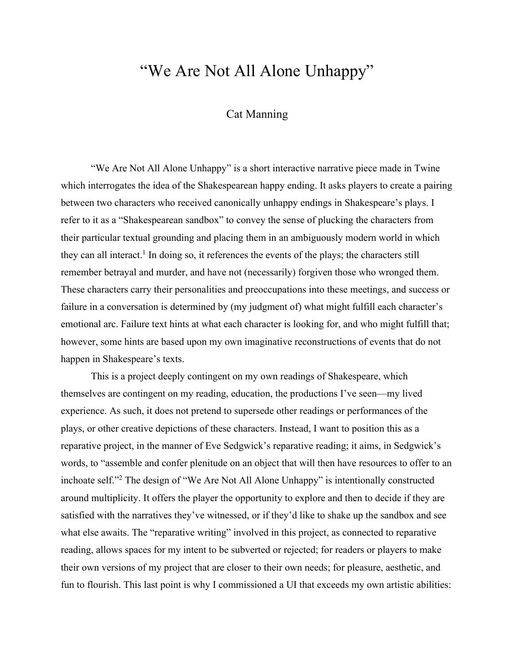## "We Are Not All Alone Unhappy"

## Cat Manning

"We Are Not All Alone Unhappy" is a short interactive narrative piece made in Twine which interrogates the idea of the Shakespearean happy ending. It asks players to create a pairing between two characters who received canonically unhappy endings in Shakespeare's plays. I refer to it as a "Shakespearean sandbox" to convey the sense of plucking the characters from their particular textual grounding and placing them in an ambiguously modern world in which they can all interact.<sup>1</sup> In doing so, it references the events of the plays; the characters still remember betrayal and murder, and have not (necessarily) forgiven those who wronged them. These characters carry their personalities and preoccupations into these meetings, and success or failure in a conversation is determined by (my judgment of) what might fulfill each character's emotional arc. Failure text hints at what each character is looking for, and who might fulfill that; however, some hints are based upon my own imaginative reconstructions of events that do not happen in Shakespeare's texts.

This is a project deeply contingent on my own readings of Shakespeare, which themselves are contingent on my reading, education, the productions I've seen—my lived experience. As such, it does not pretend to supersede other readings or performances of the plays, or other creative depictions of these characters. Instead, I want to position this as a reparative project, in the manner of Eve Sedgwick's reparative reading; it aims, in Sedgwick's words, to "assemble and confer plenitude on an object that will then have resources to offer to an inchoate self."2 The design of "We Are Not All Alone Unhappy" is intentionally constructed around multiplicity. It offers the player the opportunity to explore and then to decide if they are satisfied with the narratives they've witnessed, or if they'd like to shake up the sandbox and see what else awaits. The "reparative writing" involved in this project, as connected to reparative reading, allows spaces for my intent to be subverted or rejected; for readers or players to make their own versions of my project that are closer to their own needs; for pleasure, aesthetic, and fun to flourish. This last point is why I commissioned a UI that exceeds my own artistic abilities: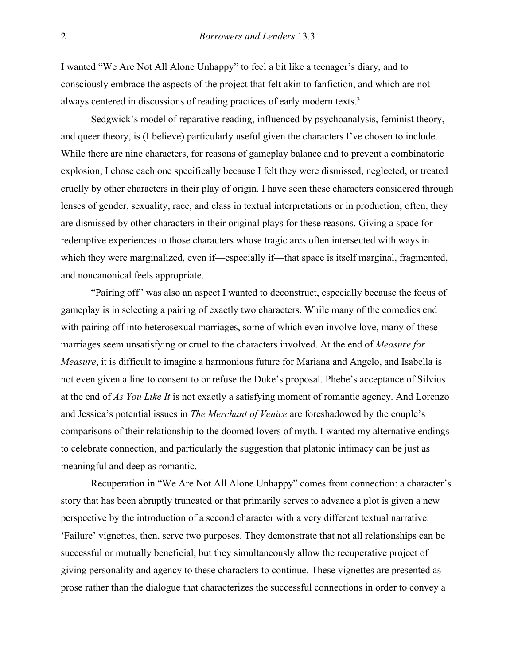I wanted "We Are Not All Alone Unhappy" to feel a bit like a teenager's diary, and to consciously embrace the aspects of the project that felt akin to fanfiction, and which are not always centered in discussions of reading practices of early modern texts.3

Sedgwick's model of reparative reading, influenced by psychoanalysis, feminist theory, and queer theory, is (I believe) particularly useful given the characters I've chosen to include. While there are nine characters, for reasons of gameplay balance and to prevent a combinatoric explosion, I chose each one specifically because I felt they were dismissed, neglected, or treated cruelly by other characters in their play of origin. I have seen these characters considered through lenses of gender, sexuality, race, and class in textual interpretations or in production; often, they are dismissed by other characters in their original plays for these reasons. Giving a space for redemptive experiences to those characters whose tragic arcs often intersected with ways in which they were marginalized, even if—especially if—that space is itself marginal, fragmented, and noncanonical feels appropriate.

"Pairing off" was also an aspect I wanted to deconstruct, especially because the focus of gameplay is in selecting a pairing of exactly two characters. While many of the comedies end with pairing off into heterosexual marriages, some of which even involve love, many of these marriages seem unsatisfying or cruel to the characters involved. At the end of *Measure for Measure*, it is difficult to imagine a harmonious future for Mariana and Angelo, and Isabella is not even given a line to consent to or refuse the Duke's proposal. Phebe's acceptance of Silvius at the end of *As You Like It* is not exactly a satisfying moment of romantic agency. And Lorenzo and Jessica's potential issues in *The Merchant of Venice* are foreshadowed by the couple's comparisons of their relationship to the doomed lovers of myth. I wanted my alternative endings to celebrate connection, and particularly the suggestion that platonic intimacy can be just as meaningful and deep as romantic.

Recuperation in "We Are Not All Alone Unhappy" comes from connection: a character's story that has been abruptly truncated or that primarily serves to advance a plot is given a new perspective by the introduction of a second character with a very different textual narrative. 'Failure' vignettes, then, serve two purposes. They demonstrate that not all relationships can be successful or mutually beneficial, but they simultaneously allow the recuperative project of giving personality and agency to these characters to continue. These vignettes are presented as prose rather than the dialogue that characterizes the successful connections in order to convey a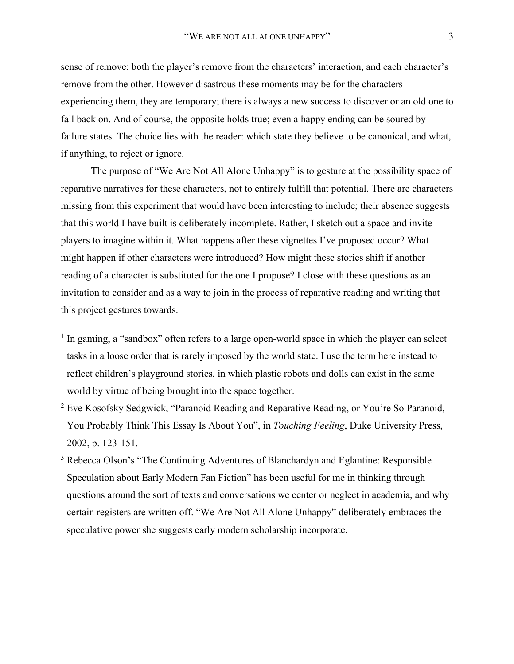sense of remove: both the player's remove from the characters' interaction, and each character's remove from the other. However disastrous these moments may be for the characters experiencing them, they are temporary; there is always a new success to discover or an old one to fall back on. And of course, the opposite holds true; even a happy ending can be soured by failure states. The choice lies with the reader: which state they believe to be canonical, and what, if anything, to reject or ignore.

The purpose of "We Are Not All Alone Unhappy" is to gesture at the possibility space of reparative narratives for these characters, not to entirely fulfill that potential. There are characters missing from this experiment that would have been interesting to include; their absence suggests that this world I have built is deliberately incomplete. Rather, I sketch out a space and invite players to imagine within it. What happens after these vignettes I've proposed occur? What might happen if other characters were introduced? How might these stories shift if another reading of a character is substituted for the one I propose? I close with these questions as an invitation to consider and as a way to join in the process of reparative reading and writing that this project gestures towards.

- <sup>2</sup> Eve Kosofsky Sedgwick, "Paranoid Reading and Reparative Reading, or You're So Paranoid, You Probably Think This Essay Is About You", in *Touching Feeling*, Duke University Press, 2002, p. 123-151.
- <sup>3</sup> Rebecca Olson's "The Continuing Adventures of Blanchardyn and Eglantine: Responsible Speculation about Early Modern Fan Fiction" has been useful for me in thinking through questions around the sort of texts and conversations we center or neglect in academia, and why certain registers are written off. "We Are Not All Alone Unhappy" deliberately embraces the speculative power she suggests early modern scholarship incorporate.

 $<sup>1</sup>$  In gaming, a "sandbox" often refers to a large open-world space in which the player can select</sup> tasks in a loose order that is rarely imposed by the world state. I use the term here instead to reflect children's playground stories, in which plastic robots and dolls can exist in the same world by virtue of being brought into the space together.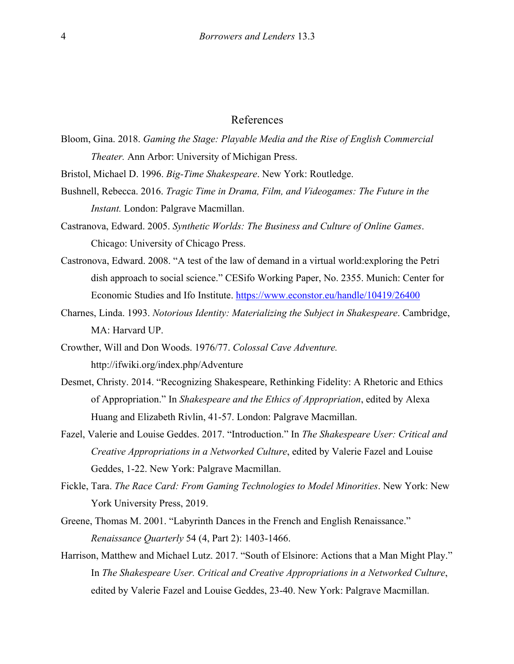## References

- Bloom, Gina. 2018. *Gaming the Stage: Playable Media and the Rise of English Commercial Theater.* Ann Arbor: University of Michigan Press.
- Bristol, Michael D. 1996. *Big-Time Shakespeare*. New York: Routledge.
- Bushnell, Rebecca. 2016. *Tragic Time in Drama, Film, and Videogames: The Future in the Instant.* London: Palgrave Macmillan.
- Castranova, Edward. 2005. *Synthetic Worlds: The Business and Culture of Online Games*. Chicago: University of Chicago Press.
- Castronova, Edward. 2008. "A test of the law of demand in a virtual world:exploring the Petri dish approach to social science." CESifo Working Paper, No. 2355. Munich: Center for Economic Studies and Ifo Institute. https://www.econstor.eu/handle/10419/26400
- Charnes, Linda. 1993. *Notorious Identity: Materializing the Subject in Shakespeare*. Cambridge, MA: Harvard UP.
- Crowther, Will and Don Woods. 1976/77. *Colossal Cave Adventure.*  http://ifwiki.org/index.php/Adventure
- Desmet, Christy. 2014. "Recognizing Shakespeare, Rethinking Fidelity: A Rhetoric and Ethics of Appropriation." In *Shakespeare and the Ethics of Appropriation*, edited by Alexa Huang and Elizabeth Rivlin, 41-57. London: Palgrave Macmillan.
- Fazel, Valerie and Louise Geddes. 2017. "Introduction." In *The Shakespeare User: Critical and Creative Appropriations in a Networked Culture*, edited by Valerie Fazel and Louise Geddes, 1-22. New York: Palgrave Macmillan.
- Fickle, Tara. *The Race Card: From Gaming Technologies to Model Minorities*. New York: New York University Press, 2019.
- Greene, Thomas M. 2001. "Labyrinth Dances in the French and English Renaissance." *Renaissance Quarterly* 54 (4, Part 2): 1403-1466.
- Harrison, Matthew and Michael Lutz. 2017. "South of Elsinore: Actions that a Man Might Play." In *The Shakespeare User. Critical and Creative Appropriations in a Networked Culture*, edited by Valerie Fazel and Louise Geddes, 23-40. New York: Palgrave Macmillan.